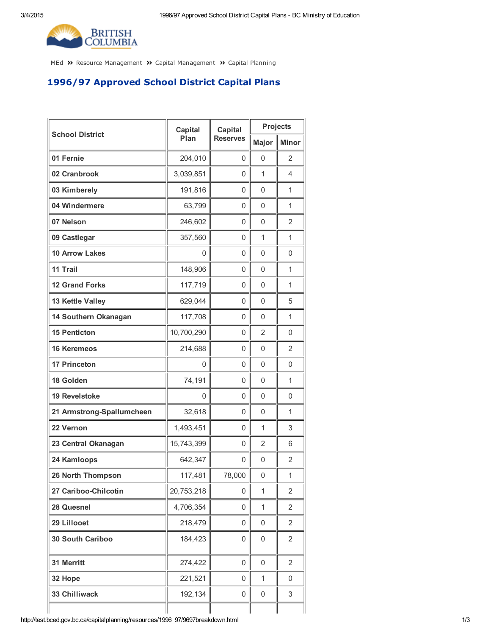

[MEd](http://test.bced.gov.bc.ca/) >> Resource [Management](http://test.bced.gov.bc.ca/departments/resource_man/capitalmanagement.htm) >> Capital Management >> Capital Planning

## 1996/97 Approved School District Capital Plans

| <b>School District</b>    | <b>Capital</b><br>Plan | <b>Capital</b><br><b>Reserves</b> | <b>Projects</b>     |                |
|---------------------------|------------------------|-----------------------------------|---------------------|----------------|
|                           |                        |                                   | Major               | <b>Minor</b>   |
| 01 Fernie                 | 204,010                | 0                                 | 0                   | 2              |
| 02 Cranbrook              | 3,039,851              | 0                                 | 1                   | 4              |
| 03 Kimberely              | 191,816                | 0                                 | $\Omega$            | 1              |
| 04 Windermere             | 63,799                 | 0                                 | 0                   | 1              |
| 07 Nelson                 | 246,602                | 0                                 | $\mathsf 0$         | $\overline{2}$ |
| 09 Castlegar              | 357,560                | 0                                 | 1                   | 1              |
| <b>10 Arrow Lakes</b>     | 0                      | 0                                 | 0                   | 0              |
| 11 Trail                  | 148,906                | 0                                 | $\mathsf 0$         | 1              |
| <b>12 Grand Forks</b>     | 117,719                | 0                                 | 0                   | 1              |
| 13 Kettle Valley          | 629,044                | 0                                 | $\mathbf{0}$        | 5              |
| 14 Southern Okanagan      | 117,708                | 0                                 | $\mathsf 0$         | 1              |
| <b>15 Penticton</b>       | 10,700,290             | 0                                 | $\overline{2}$      | 0              |
| <b>16 Keremeos</b>        | 214,688                | 0                                 | $\mathbf{0}$        | $\overline{2}$ |
| <b>17 Princeton</b>       | 0                      | 0                                 | $\mathsf 0$         | 0              |
| 18 Golden                 | 74,191                 | 0                                 | 0                   | 1              |
| <b>19 Revelstoke</b>      | 0                      | 0                                 | 0                   | 0              |
| 21 Armstrong-Spallumcheen | 32,618                 | 0                                 | $\mathsf 0$         | 1              |
| 22 Vernon                 | 1,493,451              | 0                                 | 1                   | 3              |
| 23 Central Okanagan       | 15,743,399             | 0                                 | $\overline{2}$      | 6              |
| 24 Kamloops               | 642,347                | 0                                 | 0                   | $\overline{2}$ |
| <b>26 North Thompson</b>  | 117,481                | 78,000                            | 0                   | 1              |
| 27 Cariboo-Chilcotin      | 20,753,218             | 0                                 | 1                   | 2              |
| 28 Quesnel                | 4,706,354              | 0                                 | $\mathbf{1}$        | 2              |
| 29 Lillooet               | 218,479                | 0                                 | $\mathsf{O}\xspace$ | $\overline{2}$ |
| 30 South Cariboo          | 184,423                | 0                                 | $\mathbf 0$         | 2              |
| 31 Merritt                | 274,422                | 0                                 | $\mathsf{O}\xspace$ | $\overline{2}$ |
| 32 Hope                   | 221,521                | 0                                 | 1                   | 0              |
| 33 Chilliwack             | 192,134                | 0                                 | $\mathsf{O}\xspace$ | 3              |
|                           |                        |                                   |                     |                |

http://test.bced.gov.bc.ca/capitalplanning/resources/1996\_97/9697breakdown.html 1/3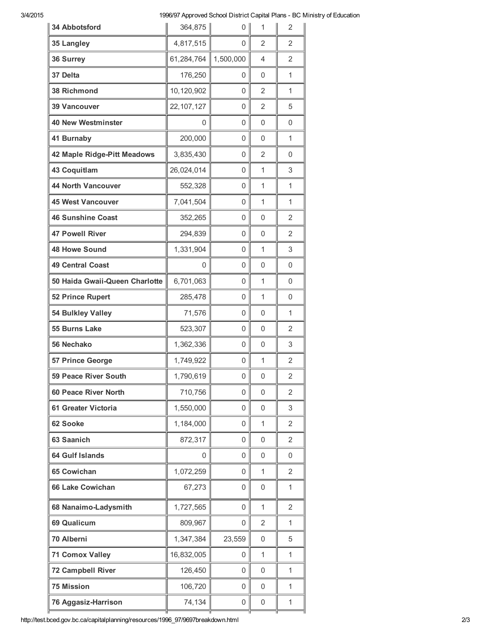## 3/4/2015 1996/97 Approved School District Capital Plans - BC Ministry of Education

| 4,817,515<br>$\overline{2}$<br>2<br>35 Langley<br>0<br>61,284,764<br>1,500,000<br>36 Surrey<br>4<br>2<br>176,250<br>37 Delta<br>0<br>0<br>1<br>38 Richmond<br>10,120,902<br>$\overline{2}$<br>0<br>1<br>22, 107, 127<br>$\overline{2}$<br><b>39 Vancouver</b><br>0<br>5<br>40 New Westminster<br>0<br>0<br>0<br>0<br>200,000<br>41 Burnaby<br>0<br>1<br>0<br>42 Maple Ridge-Pitt Meadows<br>3,835,430<br>$\overline{2}$<br>0<br>0<br>43 Coquitlam<br>26,024,014<br>0<br>1<br>3<br><b>44 North Vancouver</b><br>552,328<br>1<br>1<br>0<br><b>45 West Vancouver</b><br>7,041,504<br>1<br>1<br>0<br>352,265<br><b>46 Sunshine Coast</b><br>0<br>0<br>2<br><b>47 Powell River</b><br>294,839<br>0<br>0<br>$\overline{2}$<br>1,331,904<br>1<br>3<br><b>48 Howe Sound</b><br>0<br><b>49 Central Coast</b><br>$\mathbf 0$<br>0<br>0<br>0<br>6,701,063<br>50 Haida Gwaii-Queen Charlotte<br>0<br>1<br>0<br>285,478<br>52 Prince Rupert<br>1<br>0<br>0<br>54 Bulkley Valley<br>71,576<br>0<br>0<br>1<br>55 Burns Lake<br>523,307<br>0<br>0<br>2<br>56 Nechako<br>1,362,336<br>0<br>3<br>0<br>1,749,922<br>1<br>2<br>57 Prince George<br>0<br>1,790,619<br>2<br><b>59 Peace River South</b><br>0<br>0<br><b>60 Peace River North</b><br>710,756<br>0<br>$\overline{2}$<br>0<br>1,550,000<br>61 Greater Victoria<br>0<br>0<br>3<br>1,184,000<br>62 Sooke<br>1<br>2<br>0<br>872,317<br>63 Saanich<br>0<br>0<br>2<br><b>64 Gulf Islands</b><br>0<br>0<br>0<br>0<br><b>65 Cowichan</b><br>1,072,259<br>1<br>2<br>0<br>67,273<br><b>66 Lake Cowichan</b><br>0<br>0<br>1<br>1,727,565<br>1<br>68 Nanaimo-Ladysmith<br>0<br>$\overline{2}$<br><b>69 Qualicum</b><br>809,967<br>2<br>1<br>0<br>70 Alberni<br>1,347,384<br>23,559<br>0<br>5<br><b>71 Comox Valley</b><br>16,832,005<br>0<br>1<br>1<br>72 Campbell River<br>126,450<br>0<br>0<br>1<br><b>75 Mission</b><br>106,720<br>0<br>0<br>1<br>74,134<br>76 Aggasiz-Harrison<br>$\mathbf 1$<br>0<br>0 | <b>34 Abbotsford</b> | 364,875 | 0 | 1 | 2 |
|-----------------------------------------------------------------------------------------------------------------------------------------------------------------------------------------------------------------------------------------------------------------------------------------------------------------------------------------------------------------------------------------------------------------------------------------------------------------------------------------------------------------------------------------------------------------------------------------------------------------------------------------------------------------------------------------------------------------------------------------------------------------------------------------------------------------------------------------------------------------------------------------------------------------------------------------------------------------------------------------------------------------------------------------------------------------------------------------------------------------------------------------------------------------------------------------------------------------------------------------------------------------------------------------------------------------------------------------------------------------------------------------------------------------------------------------------------------------------------------------------------------------------------------------------------------------------------------------------------------------------------------------------------------------------------------------------------------------------------------------------------------------------------------------------------------------------------------------------------------------------------------------------------------------------------------------|----------------------|---------|---|---|---|
|                                                                                                                                                                                                                                                                                                                                                                                                                                                                                                                                                                                                                                                                                                                                                                                                                                                                                                                                                                                                                                                                                                                                                                                                                                                                                                                                                                                                                                                                                                                                                                                                                                                                                                                                                                                                                                                                                                                                         |                      |         |   |   |   |
|                                                                                                                                                                                                                                                                                                                                                                                                                                                                                                                                                                                                                                                                                                                                                                                                                                                                                                                                                                                                                                                                                                                                                                                                                                                                                                                                                                                                                                                                                                                                                                                                                                                                                                                                                                                                                                                                                                                                         |                      |         |   |   |   |
|                                                                                                                                                                                                                                                                                                                                                                                                                                                                                                                                                                                                                                                                                                                                                                                                                                                                                                                                                                                                                                                                                                                                                                                                                                                                                                                                                                                                                                                                                                                                                                                                                                                                                                                                                                                                                                                                                                                                         |                      |         |   |   |   |
|                                                                                                                                                                                                                                                                                                                                                                                                                                                                                                                                                                                                                                                                                                                                                                                                                                                                                                                                                                                                                                                                                                                                                                                                                                                                                                                                                                                                                                                                                                                                                                                                                                                                                                                                                                                                                                                                                                                                         |                      |         |   |   |   |
|                                                                                                                                                                                                                                                                                                                                                                                                                                                                                                                                                                                                                                                                                                                                                                                                                                                                                                                                                                                                                                                                                                                                                                                                                                                                                                                                                                                                                                                                                                                                                                                                                                                                                                                                                                                                                                                                                                                                         |                      |         |   |   |   |
|                                                                                                                                                                                                                                                                                                                                                                                                                                                                                                                                                                                                                                                                                                                                                                                                                                                                                                                                                                                                                                                                                                                                                                                                                                                                                                                                                                                                                                                                                                                                                                                                                                                                                                                                                                                                                                                                                                                                         |                      |         |   |   |   |
|                                                                                                                                                                                                                                                                                                                                                                                                                                                                                                                                                                                                                                                                                                                                                                                                                                                                                                                                                                                                                                                                                                                                                                                                                                                                                                                                                                                                                                                                                                                                                                                                                                                                                                                                                                                                                                                                                                                                         |                      |         |   |   |   |
|                                                                                                                                                                                                                                                                                                                                                                                                                                                                                                                                                                                                                                                                                                                                                                                                                                                                                                                                                                                                                                                                                                                                                                                                                                                                                                                                                                                                                                                                                                                                                                                                                                                                                                                                                                                                                                                                                                                                         |                      |         |   |   |   |
|                                                                                                                                                                                                                                                                                                                                                                                                                                                                                                                                                                                                                                                                                                                                                                                                                                                                                                                                                                                                                                                                                                                                                                                                                                                                                                                                                                                                                                                                                                                                                                                                                                                                                                                                                                                                                                                                                                                                         |                      |         |   |   |   |
|                                                                                                                                                                                                                                                                                                                                                                                                                                                                                                                                                                                                                                                                                                                                                                                                                                                                                                                                                                                                                                                                                                                                                                                                                                                                                                                                                                                                                                                                                                                                                                                                                                                                                                                                                                                                                                                                                                                                         |                      |         |   |   |   |
|                                                                                                                                                                                                                                                                                                                                                                                                                                                                                                                                                                                                                                                                                                                                                                                                                                                                                                                                                                                                                                                                                                                                                                                                                                                                                                                                                                                                                                                                                                                                                                                                                                                                                                                                                                                                                                                                                                                                         |                      |         |   |   |   |
|                                                                                                                                                                                                                                                                                                                                                                                                                                                                                                                                                                                                                                                                                                                                                                                                                                                                                                                                                                                                                                                                                                                                                                                                                                                                                                                                                                                                                                                                                                                                                                                                                                                                                                                                                                                                                                                                                                                                         |                      |         |   |   |   |
|                                                                                                                                                                                                                                                                                                                                                                                                                                                                                                                                                                                                                                                                                                                                                                                                                                                                                                                                                                                                                                                                                                                                                                                                                                                                                                                                                                                                                                                                                                                                                                                                                                                                                                                                                                                                                                                                                                                                         |                      |         |   |   |   |
|                                                                                                                                                                                                                                                                                                                                                                                                                                                                                                                                                                                                                                                                                                                                                                                                                                                                                                                                                                                                                                                                                                                                                                                                                                                                                                                                                                                                                                                                                                                                                                                                                                                                                                                                                                                                                                                                                                                                         |                      |         |   |   |   |
|                                                                                                                                                                                                                                                                                                                                                                                                                                                                                                                                                                                                                                                                                                                                                                                                                                                                                                                                                                                                                                                                                                                                                                                                                                                                                                                                                                                                                                                                                                                                                                                                                                                                                                                                                                                                                                                                                                                                         |                      |         |   |   |   |
|                                                                                                                                                                                                                                                                                                                                                                                                                                                                                                                                                                                                                                                                                                                                                                                                                                                                                                                                                                                                                                                                                                                                                                                                                                                                                                                                                                                                                                                                                                                                                                                                                                                                                                                                                                                                                                                                                                                                         |                      |         |   |   |   |
|                                                                                                                                                                                                                                                                                                                                                                                                                                                                                                                                                                                                                                                                                                                                                                                                                                                                                                                                                                                                                                                                                                                                                                                                                                                                                                                                                                                                                                                                                                                                                                                                                                                                                                                                                                                                                                                                                                                                         |                      |         |   |   |   |
|                                                                                                                                                                                                                                                                                                                                                                                                                                                                                                                                                                                                                                                                                                                                                                                                                                                                                                                                                                                                                                                                                                                                                                                                                                                                                                                                                                                                                                                                                                                                                                                                                                                                                                                                                                                                                                                                                                                                         |                      |         |   |   |   |
|                                                                                                                                                                                                                                                                                                                                                                                                                                                                                                                                                                                                                                                                                                                                                                                                                                                                                                                                                                                                                                                                                                                                                                                                                                                                                                                                                                                                                                                                                                                                                                                                                                                                                                                                                                                                                                                                                                                                         |                      |         |   |   |   |
|                                                                                                                                                                                                                                                                                                                                                                                                                                                                                                                                                                                                                                                                                                                                                                                                                                                                                                                                                                                                                                                                                                                                                                                                                                                                                                                                                                                                                                                                                                                                                                                                                                                                                                                                                                                                                                                                                                                                         |                      |         |   |   |   |
|                                                                                                                                                                                                                                                                                                                                                                                                                                                                                                                                                                                                                                                                                                                                                                                                                                                                                                                                                                                                                                                                                                                                                                                                                                                                                                                                                                                                                                                                                                                                                                                                                                                                                                                                                                                                                                                                                                                                         |                      |         |   |   |   |
|                                                                                                                                                                                                                                                                                                                                                                                                                                                                                                                                                                                                                                                                                                                                                                                                                                                                                                                                                                                                                                                                                                                                                                                                                                                                                                                                                                                                                                                                                                                                                                                                                                                                                                                                                                                                                                                                                                                                         |                      |         |   |   |   |
|                                                                                                                                                                                                                                                                                                                                                                                                                                                                                                                                                                                                                                                                                                                                                                                                                                                                                                                                                                                                                                                                                                                                                                                                                                                                                                                                                                                                                                                                                                                                                                                                                                                                                                                                                                                                                                                                                                                                         |                      |         |   |   |   |
|                                                                                                                                                                                                                                                                                                                                                                                                                                                                                                                                                                                                                                                                                                                                                                                                                                                                                                                                                                                                                                                                                                                                                                                                                                                                                                                                                                                                                                                                                                                                                                                                                                                                                                                                                                                                                                                                                                                                         |                      |         |   |   |   |
|                                                                                                                                                                                                                                                                                                                                                                                                                                                                                                                                                                                                                                                                                                                                                                                                                                                                                                                                                                                                                                                                                                                                                                                                                                                                                                                                                                                                                                                                                                                                                                                                                                                                                                                                                                                                                                                                                                                                         |                      |         |   |   |   |
|                                                                                                                                                                                                                                                                                                                                                                                                                                                                                                                                                                                                                                                                                                                                                                                                                                                                                                                                                                                                                                                                                                                                                                                                                                                                                                                                                                                                                                                                                                                                                                                                                                                                                                                                                                                                                                                                                                                                         |                      |         |   |   |   |
|                                                                                                                                                                                                                                                                                                                                                                                                                                                                                                                                                                                                                                                                                                                                                                                                                                                                                                                                                                                                                                                                                                                                                                                                                                                                                                                                                                                                                                                                                                                                                                                                                                                                                                                                                                                                                                                                                                                                         |                      |         |   |   |   |
|                                                                                                                                                                                                                                                                                                                                                                                                                                                                                                                                                                                                                                                                                                                                                                                                                                                                                                                                                                                                                                                                                                                                                                                                                                                                                                                                                                                                                                                                                                                                                                                                                                                                                                                                                                                                                                                                                                                                         |                      |         |   |   |   |
|                                                                                                                                                                                                                                                                                                                                                                                                                                                                                                                                                                                                                                                                                                                                                                                                                                                                                                                                                                                                                                                                                                                                                                                                                                                                                                                                                                                                                                                                                                                                                                                                                                                                                                                                                                                                                                                                                                                                         |                      |         |   |   |   |
|                                                                                                                                                                                                                                                                                                                                                                                                                                                                                                                                                                                                                                                                                                                                                                                                                                                                                                                                                                                                                                                                                                                                                                                                                                                                                                                                                                                                                                                                                                                                                                                                                                                                                                                                                                                                                                                                                                                                         |                      |         |   |   |   |
|                                                                                                                                                                                                                                                                                                                                                                                                                                                                                                                                                                                                                                                                                                                                                                                                                                                                                                                                                                                                                                                                                                                                                                                                                                                                                                                                                                                                                                                                                                                                                                                                                                                                                                                                                                                                                                                                                                                                         |                      |         |   |   |   |
|                                                                                                                                                                                                                                                                                                                                                                                                                                                                                                                                                                                                                                                                                                                                                                                                                                                                                                                                                                                                                                                                                                                                                                                                                                                                                                                                                                                                                                                                                                                                                                                                                                                                                                                                                                                                                                                                                                                                         |                      |         |   |   |   |
|                                                                                                                                                                                                                                                                                                                                                                                                                                                                                                                                                                                                                                                                                                                                                                                                                                                                                                                                                                                                                                                                                                                                                                                                                                                                                                                                                                                                                                                                                                                                                                                                                                                                                                                                                                                                                                                                                                                                         |                      |         |   |   |   |
|                                                                                                                                                                                                                                                                                                                                                                                                                                                                                                                                                                                                                                                                                                                                                                                                                                                                                                                                                                                                                                                                                                                                                                                                                                                                                                                                                                                                                                                                                                                                                                                                                                                                                                                                                                                                                                                                                                                                         |                      |         |   |   |   |
|                                                                                                                                                                                                                                                                                                                                                                                                                                                                                                                                                                                                                                                                                                                                                                                                                                                                                                                                                                                                                                                                                                                                                                                                                                                                                                                                                                                                                                                                                                                                                                                                                                                                                                                                                                                                                                                                                                                                         |                      |         |   |   |   |
|                                                                                                                                                                                                                                                                                                                                                                                                                                                                                                                                                                                                                                                                                                                                                                                                                                                                                                                                                                                                                                                                                                                                                                                                                                                                                                                                                                                                                                                                                                                                                                                                                                                                                                                                                                                                                                                                                                                                         |                      |         |   |   |   |

http://test.bced.gov.bc.ca/capitalplanning/resources/1996\_97/9697breakdown.html 2/3